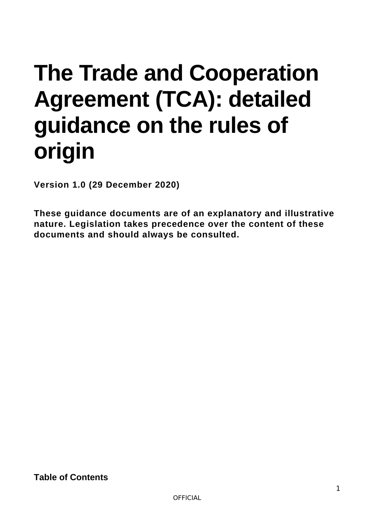# **The Trade and Cooperation Agreement (TCA): detailed guidance on the rules of origin**

**Version 1.0 (29 December 2020)** 

**These guidance documents are of an explanatory and illustrative nature. Legislation takes precedence over the content of these documents and should always be consulted.** 

**Table of Contents**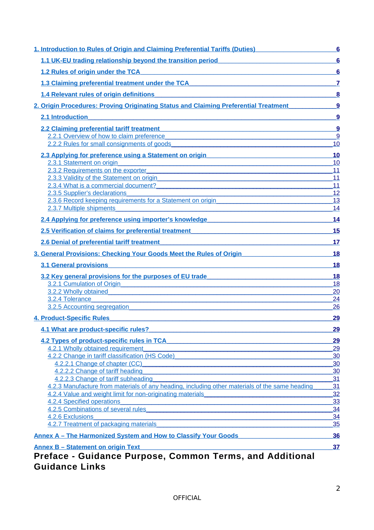| 1. Introduction to Rules of Origin and Claiming Preferential Tariffs (Duties)                                                                                                                                                                                               | 6                     |
|-----------------------------------------------------------------------------------------------------------------------------------------------------------------------------------------------------------------------------------------------------------------------------|-----------------------|
| 1.1 UK-EU trading relationship beyond the transition period                                                                                                                                                                                                                 | $6\phantom{1}6$       |
| 1.2 Rules of origin under the TCA <b>CONSERVANT CONSERVANT OF A CONSERVANT CONSERVANT CONSERVANT CONSERVANT CONSERVANT CONSERVANT CONSERVANT CONSERVANT CONSERVANT CONSERVANT CONSERVANT CONSERVANT CONSERVANT CONSERVANT CONSER</b>                                        | $6\phantom{1}6$       |
| 1.3 Claiming preferential treatment under the TCA <b>COMPRESS 2006</b>                                                                                                                                                                                                      | $\overline{7}$        |
| 1.4 Relevant rules of origin definitions and a series of the state of the state of the state of the state of the state of the state of the state of the state of the state of the state of the state of the state of the state                                              | 8                     |
| 2. Origin Procedures: Proving Originating Status and Claiming Preferential Treatment                                                                                                                                                                                        | $\overline{9}$        |
| 2.1 Introduction                                                                                                                                                                                                                                                            | 9                     |
| <u> 1989 - John Stein, mars and de Britain and de Britain and de Britain and de Britain and de Britain and de Br</u>                                                                                                                                                        |                       |
| 2.2 Claiming preferential tariff treatment <b>Example 2.2 Claiming preferential tariff treatment</b>                                                                                                                                                                        | $\boldsymbol{9}$<br>9 |
| 2.2.1 Overview of how to claim preference<br>2.2.2 Rules for small consignments of goods and a state of goods and a state of goods and a state of goods and a state of goods and a state of goods and a state of goods and a state of goods and a state of goods and a stat | 10                    |
|                                                                                                                                                                                                                                                                             |                       |
| 2.3 Applying for preference using a Statement on origin                                                                                                                                                                                                                     | 10                    |
| 2.3.1 Statement on origin<br>2.3.2 Requirements on the exporter                                                                                                                                                                                                             | 10<br>11              |
| 2.3.3 Validity of the Statement on origin entry and the statement of the Statement on origin                                                                                                                                                                                | 11                    |
| 2.3.4 What is a commercial document?<br>2.3.4 What is a commercial document?                                                                                                                                                                                                | 11                    |
| 2.3.5 Supplier's declarations                                                                                                                                                                                                                                               | 12                    |
| 2.3.6 Record keeping requirements for a Statement on origin                                                                                                                                                                                                                 | 13                    |
| 2.3.7 Multiple shipments and the state of the state of the state of the state of the state of the state of the                                                                                                                                                              | 14                    |
| 2.4 Applying for preference using importer's knowledge <b>Sample Community Community</b>                                                                                                                                                                                    | 14                    |
| 2.5 Verification of claims for preferential treatment                                                                                                                                                                                                                       | 15                    |
| 2.6 Denial of preferential tariff treatment example and all the state of the state of the state of the state of the state of the state of the state of the state of the state of the state of the state of the state of the st                                              | 17                    |
| 3. General Provisions: Checking Your Goods Meet the Rules of Origin                                                                                                                                                                                                         | 18                    |
|                                                                                                                                                                                                                                                                             |                       |
| <b>3.1 General provisions</b><br>and the control of the control of the control of the control of the control of the control of the control of the                                                                                                                           | 18                    |
| 3.2 Key general provisions for the purposes of EU trade                                                                                                                                                                                                                     | 18                    |
| 3.2.1 Cumulation of Origin <b>Exercísion Contract Cumulation Contract Cumulation Contract Cumulation Contract Cumulation Contract Cumulation Cumulation Cumulation Cumulation Cumulation Cumulation Cumula</b>                                                              | 18                    |
| 3.2.2 Wholly obtained<br><u> 1989 - Johann Barn, mars eta bainar eta bainar eta baina eta baina eta baina eta baina eta baina eta baina e</u>                                                                                                                               | 20                    |
| 3.2.4 Tolerance<br>and the control of the control of the control of the control of the control of the control of the control of the<br>3.2.5 Accounting segregation                                                                                                         | 24<br>26              |
|                                                                                                                                                                                                                                                                             |                       |
| <b>4. Product-Specific Rules</b>                                                                                                                                                                                                                                            | 29                    |
| 4.1 What are product-specific rules?                                                                                                                                                                                                                                        | 29                    |
| 4.2 Types of product-specific rules in TCA                                                                                                                                                                                                                                  | 29                    |
| 4.2.1 Wholly obtained requirement                                                                                                                                                                                                                                           | 29                    |
| 4.2.2 Change in tariff classification (HS Code)                                                                                                                                                                                                                             | 30                    |
| 4.2.2.1 Change of chapter (CC)                                                                                                                                                                                                                                              | 30                    |
| 4.2.2.2 Change of tariff heading                                                                                                                                                                                                                                            | 30                    |
| 4.2.2.3 Change of tariff subheading                                                                                                                                                                                                                                         | 31                    |
| 4.2.3 Manufacture from materials of any heading, including other materials of the same heading                                                                                                                                                                              | 31                    |
| 4.2.4 Value and weight limit for non-originating materials                                                                                                                                                                                                                  | 32                    |
| 4.2.4 Specified operations                                                                                                                                                                                                                                                  | 33                    |
| 4.2.5 Combinations of several rules and the contract of the contract of the contract of the contract of the contract of the contract of the contract of the contract of the contract of the contract of the contract of the co                                              | 34                    |
| 4.2.6 Exclusions                                                                                                                                                                                                                                                            | 34                    |
| 4.2.7 Treatment of packaging materials                                                                                                                                                                                                                                      | 35                    |
| <b>Annex A - The Harmonized System and How to Classify Your Goods</b>                                                                                                                                                                                                       | 36                    |
| <b>Annex B - Statement on origin Text</b><br><u> 1989 - Johann Stein, marwolaethau a bhann an t-Amhair Aonaichte ann an t-Amhair Aonaichte ann an t-Amhair Aon</u><br>Drofoes, Cuidence Durnoes, Common Tormo, and Additional                                               | 37                    |

# **Preface - Guidance Purpose, Common Terms, and Additional Guidance Links**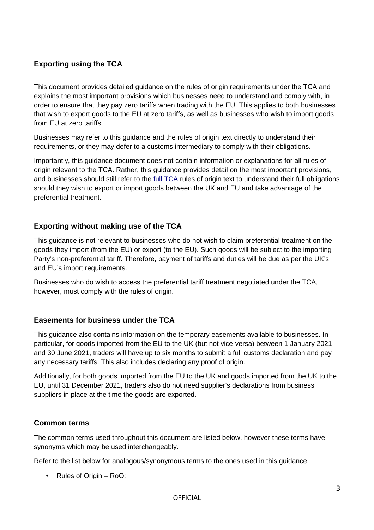# **Exporting using the TCA**

This document provides detailed guidance on the rules of origin requirements under the TCA and explains the most important provisions which businesses need to understand and comply with, in order to ensure that they pay zero tariffs when trading with the EU. This applies to both businesses that wish to export goods to the EU at zero tariffs, as well as businesses who wish to import goods from EU at zero tariffs.

Businesses may refer to this guidance and the rules of origin text directly to understand their requirements, or they may defer to a customs intermediary to comply with their obligations.

Importantly, this guidance document does not contain information or explanations for all rules of origin relevant to the TCA. Rather, this guidance provides detail on the most important provisions, and businesses should still refer to the [full TCA](https://assets.publishing.service.gov.uk/government/uploads/system/uploads/attachment_data/file/948104/EU-UK_Trade_and_Cooperation_Agreement_24.12.2020.pdf) rules of origin text to understand their full obligations should they wish to export or import goods between the UK and EU and take advantage of the preferential treatment.

# **Exporting without making use of the TCA**

This guidance is not relevant to businesses who do not wish to claim preferential treatment on the goods they import (from the EU) or export (to the EU). Such goods will be subject to the importing Party's non-preferential tariff. Therefore, payment of tariffs and duties will be due as per the UK's and EU's import requirements.

Businesses who do wish to access the preferential tariff treatment negotiated under the TCA, however, must comply with the rules of origin.

# **Easements for business under the TCA**

This guidance also contains information on the temporary easements available to businesses. In particular, for goods imported from the EU to the UK (but not vice-versa) between 1 January 2021 and 30 June 2021, traders will have up to six months to submit a full customs declaration and pay any necessary tariffs. This also includes declaring any proof of origin.

Additionally, for both goods imported from the EU to the UK and goods imported from the UK to the EU, until 31 December 2021, traders also do not need supplier's declarations from business suppliers in place at the time the goods are exported.

### **Common terms**

The common terms used throughout this document are listed below, however these terms have synonyms which may be used interchangeably.

Refer to the list below for analogous/synonymous terms to the ones used in this guidance:

• Rules of Origin – RoO;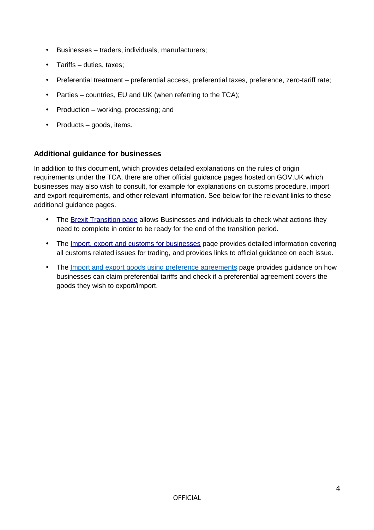- Businesses traders, individuals, manufacturers;
- Tariffs duties, taxes;
- Preferential treatment preferential access, preferential taxes, preference, zero-tariff rate;
- Parties countries, EU and UK (when referring to the TCA);
- Production working, processing; and
- Products goods, items.

# **Additional guidance for businesses**

In addition to this document, which provides detailed explanations on the rules of origin requirements under the TCA, there are other official guidance pages hosted on GOV.UK which businesses may also wish to consult, for example for explanations on customs procedure, import and export requirements, and other relevant information. See below for the relevant links to these additional guidance pages.

- The [Brexit Transition page](https://www.gov.uk/transition) allows Businesses and individuals to check what actions they need to complete in order to be ready for the end of the transition period.
- The [Import, export and customs for businesses](https://www.gov.uk/topic/business-tax/import-export) page provides detailed information covering all customs related issues for trading, and provides links to official guidance on each issue.
- The [Import and export goods using preference agreements](https://www.gov.uk/guidance/import-and-export-goods-using-preference-agreements) page provides guidance on how businesses can claim preferential tariffs and check if a preferential agreement covers the goods they wish to export/import.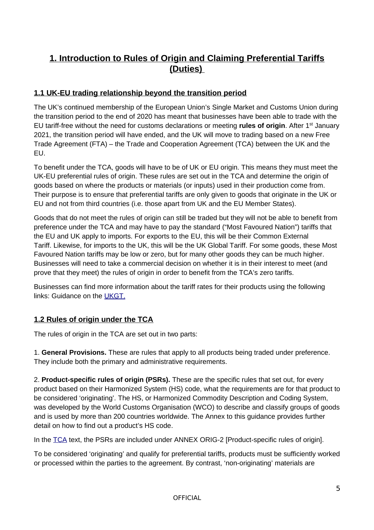# <span id="page-4-0"></span>**1. Introduction to Rules of Origin and Claiming Preferential Tariffs (Duties)**

# <span id="page-4-2"></span>**1.1 UK-EU trading relationship beyond the transition period**

The UK's continued membership of the European Union's Single Market and Customs Union during the transition period to the end of 2020 has meant that businesses have been able to trade with the EU tariff-free without the need for customs declarations or meeting **rules of origin**. After 1st January 2021, the transition period will have ended, and the UK will move to trading based on a new Free Trade Agreement (FTA) – the Trade and Cooperation Agreement (TCA) between the UK and the EU.

To benefit under the TCA, goods will have to be of UK or EU origin. This means they must meet the UK-EU preferential rules of origin. These rules are set out in the TCA and determine the origin of goods based on where the products or materials (or inputs) used in their production come from. Their purpose is to ensure that preferential tariffs are only given to goods that originate in the UK or EU and not from third countries (i.e. those apart from UK and the EU Member States).

Goods that do not meet the rules of origin can still be traded but they will not be able to benefit from preference under the TCA and may have to pay the standard ("Most Favoured Nation") tariffs that the EU and UK apply to imports. For exports to the EU, this will be their Common External Tariff. Likewise, for imports to the UK, this will be the UK Global Tariff. For some goods, these Most Favoured Nation tariffs may be low or zero, but for many other goods they can be much higher. Businesses will need to take a commercial decision on whether it is in their interest to meet (and prove that they meet) the rules of origin in order to benefit from the TCA's zero tariffs.

Businesses can find more information about the tariff rates for their products using the following links: Guidance on the [UKGT.](https://www.gov.uk/guidance/uk-tariffs-from-1-january-2021)

# <span id="page-4-1"></span>**1.2 Rules of origin under the TCA**

The rules of origin in the TCA are set out in two parts:

1. **General Provisions.** These are rules that apply to all products being traded under preference. They include both the primary and administrative requirements.

2. **Product-specific rules of origin (PSRs).** These are the specific rules that set out, for every product based on their Harmonized System (HS) code, what the requirements are for that product to be considered 'originating'. The HS, or Harmonized Commodity Description and Coding System, was developed by the World Customs Organisation (WCO) to describe and classify groups of goods and is used by more than 200 countries worldwide. The Annex to this guidance provides further detail on how to find out a product's HS code.

In the [TCA](https://assets.publishing.service.gov.uk/government/uploads/system/uploads/attachment_data/file/948104/EU-UK_Trade_and_Cooperation_Agreement_24.12.2020.pdf) text, the PSRs are included under ANNEX ORIG-2 [Product-specific rules of origin].

To be considered 'originating' and qualify for preferential tariffs, products must be sufficiently worked or processed within the parties to the agreement. By contrast, 'non-originating' materials are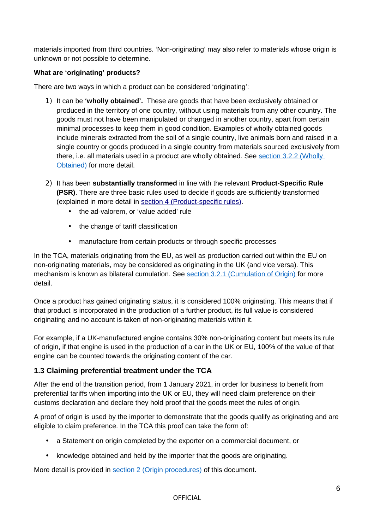materials imported from third countries. 'Non-originating' may also refer to materials whose origin is unknown or not possible to determine.

# **What are 'originating' products?**

There are two ways in which a product can be considered 'originating':

- 1) It can be **'wholly obtained'.** These are goods that have been exclusively obtained or produced in the territory of one country, without using materials from any other country. The goods must not have been manipulated or changed in another country, apart from certain minimal processes to keep them in good condition. Examples of wholly obtained goods include minerals extracted from the soil of a single country, live animals born and raised in a single country or goods produced in a single country from materials sourced exclusively from there, i.e. all materials used in a product are wholly obtained. See section 3.2.2 (Wholly Obtained) for more detail.
- 2) It has been **substantially transformed** in line with the relevant **Product-Specific Rule (PSR)**. There are three basic rules used to decide if goods are sufficiently transformed (explained in more detail in [section 4 \(Product-specific rules\).](#page-28-3)
	- the ad-valorem, or 'value added' rule
	- the change of tariff classification
	- manufacture from certain products or through specific processes

In the TCA, materials originating from the EU, as well as production carried out within the EU on non-originating materials, may be considered as originating in the UK (and vice versa). This mechanism is known as bilateral cumulation. See [section 3.2.1 \(Cumulation of Origin\)](#page-17-0) for more detail.

Once a product has gained originating status, it is considered 100% originating. This means that if that product is incorporated in the production of a further product, its full value is considered originating and no account is taken of non-originating materials within it.

For example, if a UK-manufactured engine contains 30% non-originating content but meets its rule of origin, if that engine is used in the production of a car in the UK or EU, 100% of the value of that engine can be counted towards the originating content of the car.

# <span id="page-5-0"></span>**1.3 Claiming preferential treatment under the TCA**

After the end of the transition period, from 1 January 2021, in order for business to benefit from preferential tariffs when importing into the UK or EU, they will need claim preference on their customs declaration and declare they hold proof that the goods meet the rules of origin.

A proof of origin is used by the importer to demonstrate that the goods qualify as originating and are eligible to claim preference. In the TCA this proof can take the form of:

- a Statement on origin completed by the exporter on a commercial document, or
- knowledge obtained and held by the importer that the goods are originating.

More detail is provided in section 2 (Origin procedures) of this document.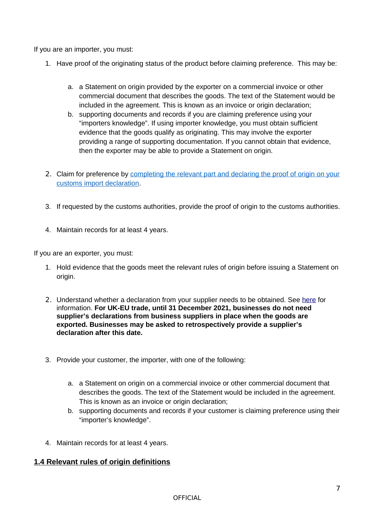If you are an importer, you must:

- 1. Have proof of the originating status of the product before claiming preference. This may be:
	- a. a Statement on origin provided by the exporter on a commercial invoice or other commercial document that describes the goods. The text of the Statement would be included in the agreement. This is known as an invoice or origin declaration;
	- b. supporting documents and records if you are claiming preference using your "importers knowledge". If using importer knowledge, you must obtain sufficient evidence that the goods qualify as originating. This may involve the exporter providing a range of supporting documentation. If you cannot obtain that evidence, then the exporter may be able to provide a Statement on origin.
- 2. Claim for preference by completing the relevant part and declaring the proof of origin on your [customs import declaration.](https://www.gov.uk/guidance/claiming-preferential-rates-of-duty-between-the-uk-and-eu-from-1-january-2021)
- 3. If requested by the customs authorities, provide the proof of origin to the customs authorities.
- 4. Maintain records for at least 4 years.

If you are an exporter, you must:

- 1. Hold evidence that the goods meet the relevant rules of origin before issuing a Statement on origin.
- 2. Understand whether a declaration from your supplier needs to be obtained. See [here](https://www.gov.uk/guidance/get-proof-of-origin-for-your-goods) for information. **For UK-EU trade, until 31 December 2021, businesses do not need supplier's declarations from business suppliers in place when the goods are exported. Businesses may be asked to retrospectively provide a supplier's declaration after this date.**
- 3. Provide your customer, the importer, with one of the following:
	- a. a Statement on origin on a commercial invoice or other commercial document that describes the goods. The text of the Statement would be included in the agreement. This is known as an invoice or origin declaration;
	- b. supporting documents and records if your customer is claiming preference using their "importer's knowledge".
- 4. Maintain records for at least 4 years.

# <span id="page-6-0"></span>**1.4 Relevant rules of origin definitions**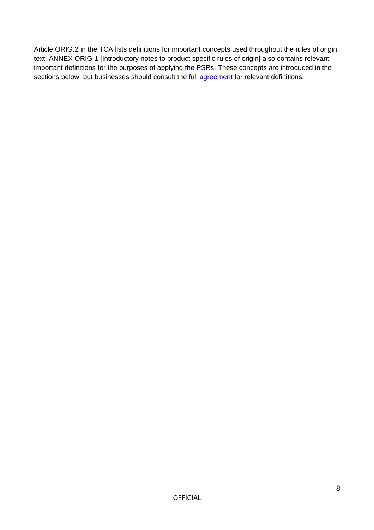Article ORIG.2 in the TCA lists definitions for important concepts used throughout the rules of origin text. ANNEX ORIG-1 [Introductory notes to product specific rules of origin] also contains relevant important definitions for the purposes of applying the PSRs. These concepts are introduced in the sections below, but businesses should consult the *full agreement* for relevant definitions.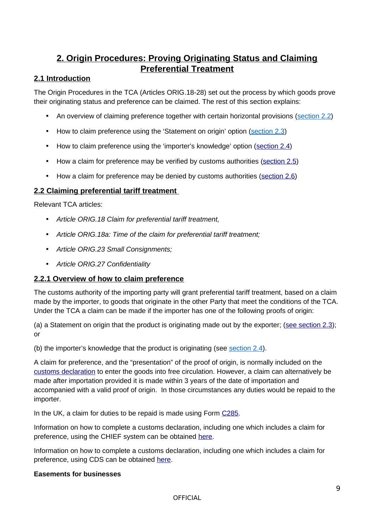# <span id="page-8-3"></span>**2. Origin Procedures: Proving Originating Status and Claiming Preferential Treatment**

# <span id="page-8-2"></span>**2.1 Introduction**

The Origin Procedures in the TCA (Articles ORIG.18-28) set out the process by which goods prove their originating status and preference can be claimed. The rest of this section explains:

- An overview of claiming preference together with certain horizontal provisions (section 2.2)
- How to claim preference using the 'Statement on origin' option (section 2.3)
- How to claim preference using the 'importer's knowledge' option [\(section 2.4\)](#page-13-0)
- How a claim for preference may be verified by customs authorities [\(section 2.5\)](#page-15-0)
- How a claim for preference may be denied by customs authorities [\(section 2.6\)](#page-16-0)

# <span id="page-8-1"></span>**2.2 Claiming preferential tariff treatment**

Relevant TCA articles:

- *Article ORIG.18 Claim for preferential tariff treatment,*
- *Article ORIG.18a: Time of the claim for preferential tariff treatment;*
- *Article ORIG.23 Small Consignments;*
- *Article ORIG.27 Confidentiality*

# <span id="page-8-0"></span>**2.2.1 Overview of how to claim preference**

The customs authority of the importing party will grant preferential tariff treatment, based on a claim made by the importer, to goods that originate in the other Party that meet the conditions of the TCA. Under the TCA a claim can be made if the importer has one of the following proofs of origin:

(a) a Statement on origin that the product is originating made out by the exporter; (see section  $2.3$ ); or

(b) the importer's knowledge that the product is originating (see section  $2.4$ ).

A claim for preference, and the "presentation" of the proof of origin, is normally included on the [customs declaration](https://www.gov.uk/government/collections/uk-trade-tariff-volume-3-for-chief) to enter the goods into free circulation. However, a claim can alternatively be made after importation provided it is made within 3 years of the date of importation and accompanied with a valid proof of origin. In those circumstances any duties would be repaid to the importer.

In the UK, a claim for duties to be repaid is made using Form [C285.](https://www.gov.uk/guidance/apply-for-repayment-or-remission-of-import-duties-c285-chief)

Information on how to complete a customs declaration, including one which includes a claim for preference, using the CHIEF system can be obtained [here.](https://www.gov.uk/government/collections/uk-trade-tariff-volume-3-for-chief)

Information on how to complete a customs declaration, including one which includes a claim for preference, using CDS can be obtained [here.](https://www.gov.uk/government/collections/uk-trade-tariff-volume-3-for-cds--2)

### **Easements for businesses**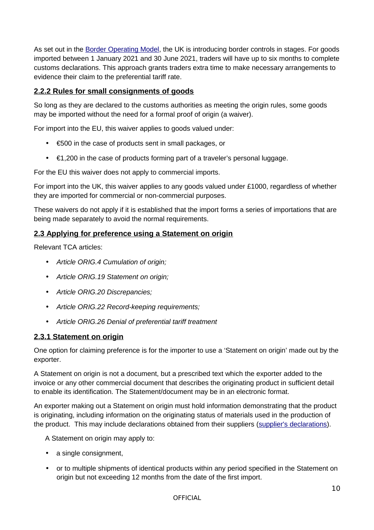As set out in the [Border Operating Model,](https://www.gov.uk/government/publications/the-border-operating-model) the UK is introducing border controls in stages. For goods imported between 1 January 2021 and 30 June 2021, traders will have up to six months to complete customs declarations. This approach grants traders extra time to make necessary arrangements to evidence their claim to the preferential tariff rate.

# <span id="page-9-2"></span>**2.2.2 Rules for small consignments of goods**

So long as they are declared to the customs authorities as meeting the origin rules, some goods may be imported without the need for a formal proof of origin (a waiver).

For import into the EU, this waiver applies to goods valued under:

- €500 in the case of products sent in small packages, or
- $\cdot$   $\epsilon$ 1,200 in the case of products forming part of a traveler's personal luggage.

For the EU this waiver does not apply to commercial imports.

For import into the UK, this waiver applies to any goods valued under £1000, regardless of whether they are imported for commercial or non-commercial purposes.

These waivers do not apply if it is established that the import forms a series of importations that are being made separately to avoid the normal requirements.

# <span id="page-9-1"></span>**2.3 Applying for preference using a Statement on origin**

Relevant TCA articles:

- *Article ORIG.4 Cumulation of origin;*
- *Article ORIG.19 Statement on origin;*
- *Article ORIG.20 Discrepancies;*
- *Article ORIG.22 Record-keeping requirements;*
- *Article ORIG.26 Denial of preferential tariff treatment*

# <span id="page-9-0"></span>**2.3.1 Statement on origin**

One option for claiming preference is for the importer to use a 'Statement on origin' made out by the exporter.

A Statement on origin is not a document, but a prescribed text which the exporter added to the invoice or any other commercial document that describes the originating product in sufficient detail to enable its identification. The Statement/document may be in an electronic format.

An exporter making out a Statement on origin must hold information demonstrating that the product is originating, including information on the originating status of materials used in the production of the product. This may include declarations obtained from their suppliers [\(supplier's declarations\)](https://www.gov.uk/guidance/using-a-suppliers-declaration-to-support-a-proof-of-origin).

A Statement on origin may apply to:

- a single consignment,
- or to multiple shipments of identical products within any period specified in the Statement on origin but not exceeding 12 months from the date of the first import.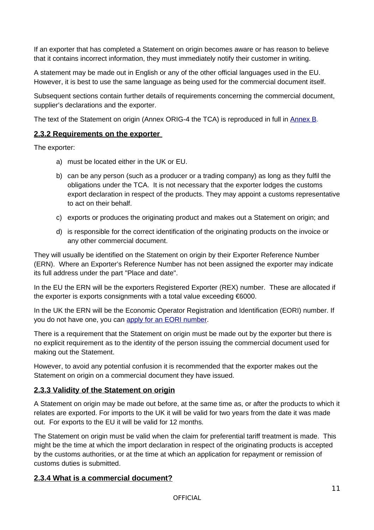If an exporter that has completed a Statement on origin becomes aware or has reason to believe that it contains incorrect information, they must immediately notify their customer in writing.

A statement may be made out in English or any of the other official languages used in the EU. However, it is best to use the same language as being used for the commercial document itself.

Subsequent sections contain further details of requirements concerning the commercial document, supplier's declarations and the exporter.

The text of the Statement on origin (Annex ORIG-4 the TCA) is reproduced in full in [Annex B.](#page-35-1)

### <span id="page-10-2"></span>**2.3.2 Requirements on the exporter**

The exporter:

- a) must be located either in the UK or EU.
- b) can be any person (such as a producer or a trading company) as long as they fulfil the obligations under the TCA. It is not necessary that the exporter lodges the customs export declaration in respect of the products. They may appoint a customs representative to act on their behalf.
- c) exports or produces the originating product and makes out a Statement on origin; and
- d) is responsible for the correct identification of the originating products on the invoice or any other commercial document.

They will usually be identified on the Statement on origin by their Exporter Reference Number (ERN). Where an Exporter's Reference Number has not been assigned the exporter may indicate its full address under the part "Place and date".

In the EU the ERN will be the exporters Registered Exporter (REX) number. These are allocated if the exporter is exports consignments with a total value exceeding €6000.

In the UK the ERN will be the Economic Operator Registration and Identification (EORI) number. If you do not have one, you can [apply for an EORI number.](https://www.gov.uk/eori)

There is a requirement that the Statement on origin must be made out by the exporter but there is no explicit requirement as to the identity of the person issuing the commercial document used for making out the Statement.

However, to avoid any potential confusion it is recommended that the exporter makes out the Statement on origin on a commercial document they have issued.

# <span id="page-10-1"></span>**2.3.3 Validity of the Statement on origin**

A Statement on origin may be made out before, at the same time as, or after the products to which it relates are exported. For imports to the UK it will be valid for two years from the date it was made out. For exports to the EU it will be valid for 12 months.

The Statement on origin must be valid when the claim for preferential tariff treatment is made. This might be the time at which the import declaration in respect of the originating products is accepted by the customs authorities, or at the time at which an application for repayment or remission of customs duties is submitted.

### <span id="page-10-0"></span>**2.3.4 What is a commercial document?**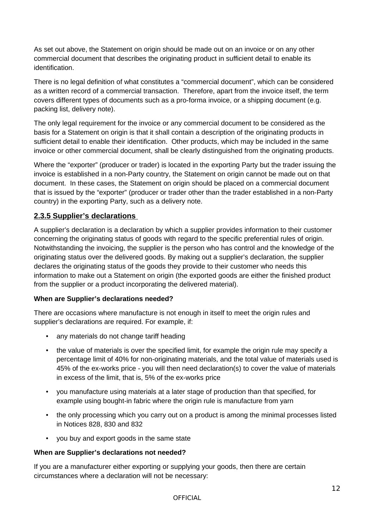As set out above, the Statement on origin should be made out on an invoice or on any other commercial document that describes the originating product in sufficient detail to enable its identification.

There is no legal definition of what constitutes a "commercial document", which can be considered as a written record of a commercial transaction. Therefore, apart from the invoice itself, the term covers different types of documents such as a pro-forma invoice, or a shipping document (e.g. packing list, delivery note).

The only legal requirement for the invoice or any commercial document to be considered as the basis for a Statement on origin is that it shall contain a description of the originating products in sufficient detail to enable their identification. Other products, which may be included in the same invoice or other commercial document, shall be clearly distinguished from the originating products.

Where the "exporter" (producer or trader) is located in the exporting Party but the trader issuing the invoice is established in a non-Party country, the Statement on origin cannot be made out on that document. In these cases, the Statement on origin should be placed on a commercial document that is issued by the "exporter" (producer or trader other than the trader established in a non-Party country) in the exporting Party, such as a delivery note.

# <span id="page-11-0"></span>**2.3.5 Supplier's declarations**

A supplier's declaration is a declaration by which a supplier provides information to their customer concerning the originating status of goods with regard to the specific preferential rules of origin. Notwithstanding the invoicing, the supplier is the person who has control and the knowledge of the originating status over the delivered goods. By making out a supplier's declaration, the supplier declares the originating status of the goods they provide to their customer who needs this information to make out a Statement on origin (the exported goods are either the finished product from the supplier or a product incorporating the delivered material).

### **When are Supplier's declarations needed?**

There are occasions where manufacture is not enough in itself to meet the origin rules and supplier's declarations are required. For example, if:

- any materials do not change tariff heading
- the value of materials is over the specified limit, for example the origin rule may specify a percentage limit of 40% for non-originating materials, and the total value of materials used is 45% of the ex-works price - you will then need declaration(s) to cover the value of materials in excess of the limit, that is, 5% of the ex-works price
- you manufacture using materials at a later stage of production than that specified, for example using bought-in fabric where the origin rule is manufacture from yarn
- the only processing which you carry out on a product is among the minimal processes listed in Notices 828, 830 and 832
- you buy and export goods in the same state

### **When are Supplier's declarations not needed?**

If you are a manufacturer either exporting or supplying your goods, then there are certain circumstances where a declaration will not be necessary: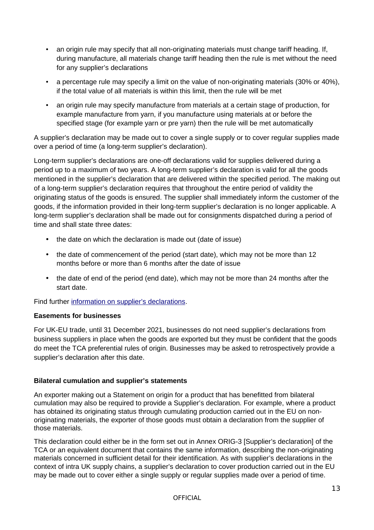- an origin rule may specify that all non-originating materials must change tariff heading. If, during manufacture, all materials change tariff heading then the rule is met without the need for any supplier's declarations
- a percentage rule may specify a limit on the value of non-originating materials (30% or 40%), if the total value of all materials is within this limit, then the rule will be met
- an origin rule may specify manufacture from materials at a certain stage of production, for example manufacture from yarn, if you manufacture using materials at or before the specified stage (for example yarn or pre yarn) then the rule will be met automatically

A supplier's declaration may be made out to cover a single supply or to cover regular supplies made over a period of time (a long-term supplier's declaration).

Long-term supplier's declarations are one-off declarations valid for supplies delivered during a period up to a maximum of two years. A long-term supplier's declaration is valid for all the goods mentioned in the supplier's declaration that are delivered within the specified period. The making out of a long-term supplier's declaration requires that throughout the entire period of validity the originating status of the goods is ensured. The supplier shall immediately inform the customer of the goods, if the information provided in their long-term supplier's declaration is no longer applicable. A long-term supplier's declaration shall be made out for consignments dispatched during a period of time and shall state three dates:

- the date on which the declaration is made out (date of issue)
- the date of commencement of the period (start date), which may not be more than 12 months before or more than 6 months after the date of issue
- the date of end of the period (end date), which may not be more than 24 months after the start date.

Find further [information on supplier's declarations.](https://www.gov.uk/guidance/using-a-suppliers-declaration-to-support-a-proof-of-origin)

### **Easements for businesses**

For UK-EU trade, until 31 December 2021, businesses do not need supplier's declarations from business suppliers in place when the goods are exported but they must be confident that the goods do meet the TCA preferential rules of origin. Businesses may be asked to retrospectively provide a supplier's declaration after this date.

### **Bilateral cumulation and supplier's statements**

An exporter making out a Statement on origin for a product that has benefitted from bilateral cumulation may also be required to provide a Supplier's declaration. For example, where a product has obtained its originating status through cumulating production carried out in the EU on nonoriginating materials, the exporter of those goods must obtain a declaration from the supplier of those materials.

This declaration could either be in the form set out in Annex ORIG-3 [Supplier's declaration] of the TCA or an equivalent document that contains the same information, describing the non-originating materials concerned in sufficient detail for their identification. As with supplier's declarations in the context of intra UK supply chains, a supplier's declaration to cover production carried out in the EU may be made out to cover either a single supply or regular supplies made over a period of time.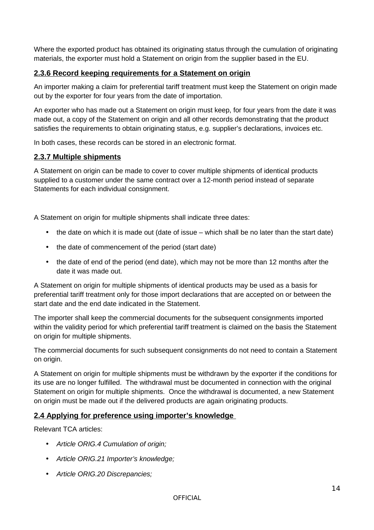Where the exported product has obtained its originating status through the cumulation of originating materials, the exporter must hold a Statement on origin from the supplier based in the EU.

# <span id="page-13-2"></span>**2.3.6 Record keeping requirements for a Statement on origin**

An importer making a claim for preferential tariff treatment must keep the Statement on origin made out by the exporter for four years from the date of importation.

An exporter who has made out a Statement on origin must keep, for four years from the date it was made out, a copy of the Statement on origin and all other records demonstrating that the product satisfies the requirements to obtain originating status, e.g. supplier's declarations, invoices etc.

In both cases, these records can be stored in an electronic format.

### <span id="page-13-1"></span>**2.3.7 Multiple shipments**

A Statement on origin can be made to cover to cover multiple shipments of identical products supplied to a customer under the same contract over a 12-month period instead of separate Statements for each individual consignment.

A Statement on origin for multiple shipments shall indicate three dates:

- the date on which it is made out (date of issue which shall be no later than the start date)
- the date of commencement of the period (start date)
- the date of end of the period (end date), which may not be more than 12 months after the date it was made out.

A Statement on origin for multiple shipments of identical products may be used as a basis for preferential tariff treatment only for those import declarations that are accepted on or between the start date and the end date indicated in the Statement.

The importer shall keep the commercial documents for the subsequent consignments imported within the validity period for which preferential tariff treatment is claimed on the basis the Statement on origin for multiple shipments.

The commercial documents for such subsequent consignments do not need to contain a Statement on origin.

A Statement on origin for multiple shipments must be withdrawn by the exporter if the conditions for its use are no longer fulfilled. The withdrawal must be documented in connection with the original Statement on origin for multiple shipments. Once the withdrawal is documented, a new Statement on origin must be made out if the delivered products are again originating products.

# <span id="page-13-0"></span>**2.4 Applying for preference using importer's knowledge**

Relevant TCA articles:

- *Article ORIG.4 Cumulation of origin;*
- *Article ORIG.21 Importer's knowledge;*
- *Article ORIG.20 Discrepancies;*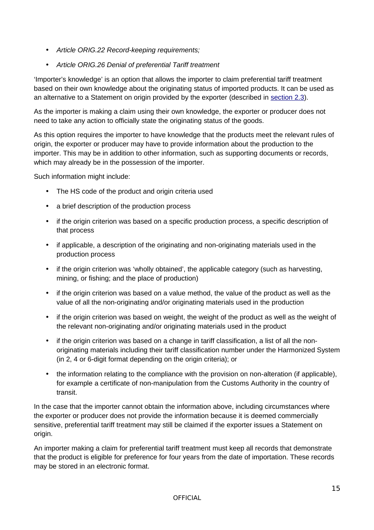- *Article ORIG.22 Record-keeping requirements;*
- *Article ORIG.26 Denial of preferential Tariff treatment*

'Importer's knowledge' is an option that allows the importer to claim preferential tariff treatment based on their own knowledge about the originating status of imported products. It can be used as an alternative to a Statement on origin provided by the exporter (described in [section 2.3\)](#page-9-1).

As the importer is making a claim using their own knowledge, the exporter or producer does not need to take any action to officially state the originating status of the goods.

As this option requires the importer to have knowledge that the products meet the relevant rules of origin, the exporter or producer may have to provide information about the production to the importer. This may be in addition to other information, such as supporting documents or records, which may already be in the possession of the importer.

Such information might include:

- The HS code of the product and origin criteria used
- a brief description of the production process
- if the origin criterion was based on a specific production process, a specific description of that process
- if applicable, a description of the originating and non-originating materials used in the production process
- if the origin criterion was 'wholly obtained', the applicable category (such as harvesting, mining, or fishing; and the place of production)
- if the origin criterion was based on a value method, the value of the product as well as the value of all the non-originating and/or originating materials used in the production
- if the origin criterion was based on weight, the weight of the product as well as the weight of the relevant non-originating and/or originating materials used in the product
- if the origin criterion was based on a change in tariff classification, a list of all the nonoriginating materials including their tariff classification number under the Harmonized System (in 2, 4 or 6-digit format depending on the origin criteria); or
- the information relating to the compliance with the provision on non-alteration (if applicable), for example a certificate of non-manipulation from the Customs Authority in the country of transit.

In the case that the importer cannot obtain the information above, including circumstances where the exporter or producer does not provide the information because it is deemed commercially sensitive, preferential tariff treatment may still be claimed if the exporter issues a Statement on origin.

An importer making a claim for preferential tariff treatment must keep all records that demonstrate that the product is eligible for preference for four years from the date of importation. These records may be stored in an electronic format.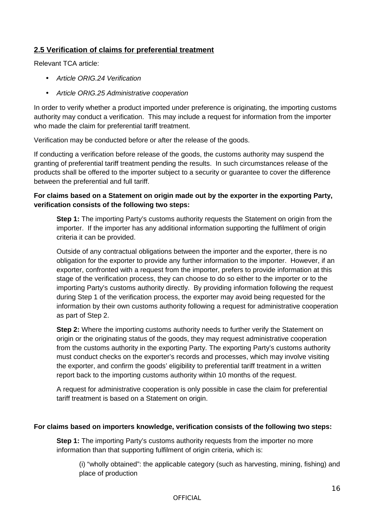# <span id="page-15-0"></span>**2.5 Verification of claims for preferential treatment**

Relevant TCA article:

- *Article ORIG.24 Verification*
- *Article ORIG.25 Administrative cooperation*

In order to verify whether a product imported under preference is originating, the importing customs authority may conduct a verification. This may include a request for information from the importer who made the claim for preferential tariff treatment.

Verification may be conducted before or after the release of the goods.

If conducting a verification before release of the goods, the customs authority may suspend the granting of preferential tariff treatment pending the results. In such circumstances release of the products shall be offered to the importer subject to a security or guarantee to cover the difference between the preferential and full tariff.

#### **For claims based on a Statement on origin made out by the exporter in the exporting Party, verification consists of the following two steps:**

**Step 1:** The importing Party's customs authority requests the Statement on origin from the importer. If the importer has any additional information supporting the fulfilment of origin criteria it can be provided.

Outside of any contractual obligations between the importer and the exporter, there is no obligation for the exporter to provide any further information to the importer. However, if an exporter, confronted with a request from the importer, prefers to provide information at this stage of the verification process, they can choose to do so either to the importer or to the importing Party's customs authority directly. By providing information following the request during Step 1 of the verification process, the exporter may avoid being requested for the information by their own customs authority following a request for administrative cooperation as part of Step 2.

**Step 2:** Where the importing customs authority needs to further verify the Statement on origin or the originating status of the goods, they may request administrative cooperation from the customs authority in the exporting Party. The exporting Party's customs authority must conduct checks on the exporter's records and processes, which may involve visiting the exporter, and confirm the goods' eligibility to preferential tariff treatment in a written report back to the importing customs authority within 10 months of the request.

A request for administrative cooperation is only possible in case the claim for preferential tariff treatment is based on a Statement on origin.

#### **For claims based on importers knowledge, verification consists of the following two steps:**

**Step 1:** The importing Party's customs authority requests from the importer no more information than that supporting fulfilment of origin criteria, which is:

(i) "wholly obtained": the applicable category (such as harvesting, mining, fishing) and place of production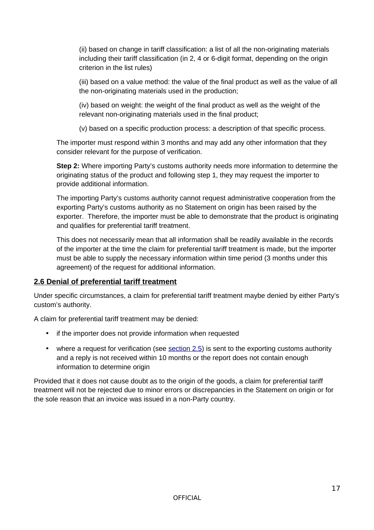(ii) based on change in tariff classification: a list of all the non-originating materials including their tariff classification (in 2, 4 or 6-digit format, depending on the origin criterion in the list rules)

(iii) based on a value method: the value of the final product as well as the value of all the non-originating materials used in the production;

(iv) based on weight: the weight of the final product as well as the weight of the relevant non-originating materials used in the final product;

(v) based on a specific production process: a description of that specific process.

The importer must respond within 3 months and may add any other information that they consider relevant for the purpose of verification.

**Step 2:** Where importing Party's customs authority needs more information to determine the originating status of the product and following step 1, they may request the importer to provide additional information.

The importing Party's customs authority cannot request administrative cooperation from the exporting Party's customs authority as no Statement on origin has been raised by the exporter. Therefore, the importer must be able to demonstrate that the product is originating and qualifies for preferential tariff treatment.

This does not necessarily mean that all information shall be readily available in the records of the importer at the time the claim for preferential tariff treatment is made, but the importer must be able to supply the necessary information within time period (3 months under this agreement) of the request for additional information.

# <span id="page-16-0"></span>**2.6 Denial of preferential tariff treatment**

Under specific circumstances, a claim for preferential tariff treatment maybe denied by either Party's custom's authority.

A claim for preferential tariff treatment may be denied:

- if the importer does not provide information when requested
- where a request for verification (see [section 2.5\)](#page-15-0) is sent to the exporting customs authority and a reply is not received within 10 months or the report does not contain enough information to determine origin

Provided that it does not cause doubt as to the origin of the goods, a claim for preferential tariff treatment will not be rejected due to minor errors or discrepancies in the Statement on origin or for the sole reason that an invoice was issued in a non-Party country.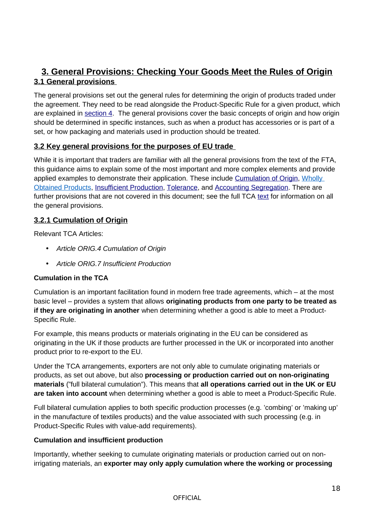# <span id="page-17-3"></span><span id="page-17-2"></span>**3. General Provisions: Checking Your Goods Meet the Rules of Origin 3.1 General provisions**

The general provisions set out the general rules for determining the origin of products traded under the agreement. They need to be read alongside the Product-Specific Rule for a given product, which are explained in [section 4.](#page-28-3) The general provisions cover the basic concepts of origin and how origin should be determined in specific instances, such as when a product has accessories or is part of a set, or how packaging and materials used in production should be treated.

# <span id="page-17-1"></span>**3.2 Key general provisions for the purposes of EU trade**

While it is important that traders are familiar with all the general provisions from the text of the FTA, this guidance aims to explain some of the most important and more complex elements and provide applied examples to demonstrate their application. These include [Cumulation of Origin,](#page-17-0) [Wholly](#page-19-0)  Obtained Products, [Insufficient Production,](#page-22-0) [Tolerance,](#page-23-0) and [Accounting Segregation.](#page-25-0) There are further provisions that are not covered in this document; see the full TCA [text](https://assets.publishing.service.gov.uk/government/uploads/system/uploads/attachment_data/file/948104/EU-UK_Trade_and_Cooperation_Agreement_24.12.2020.pdf) for information on all the general provisions.

# <span id="page-17-0"></span>**3.2.1 Cumulation of Origin**

Relevant TCA Articles:

- *Article ORIG.4 Cumulation of Origin*
- *Article ORIG.7 Insufficient Production*

# **Cumulation in the TCA**

Cumulation is an important facilitation found in modern free trade agreements, which – at the most basic level – provides a system that allows **originating products from one party to be treated as if they are originating in another** when determining whether a good is able to meet a Product-Specific Rule.

For example, this means products or materials originating in the EU can be considered as originating in the UK if those products are further processed in the UK or incorporated into another product prior to re-export to the EU.

Under the TCA arrangements, exporters are not only able to cumulate originating materials or products, as set out above, but also **processing or production carried out on non-originating materials** ("full bilateral cumulation"). This means that **all operations carried out in the UK or EU are taken into account** when determining whether a good is able to meet a Product-Specific Rule.

Full bilateral cumulation applies to both specific production processes (e.g. 'combing' or 'making up' in the manufacture of textiles products) and the value associated with such processing (e.g. in Product-Specific Rules with value-add requirements).

# **Cumulation and insufficient production**

Importantly, whether seeking to cumulate originating materials or production carried out on nonirrigating materials, an **exporter may only apply cumulation where the working or processing**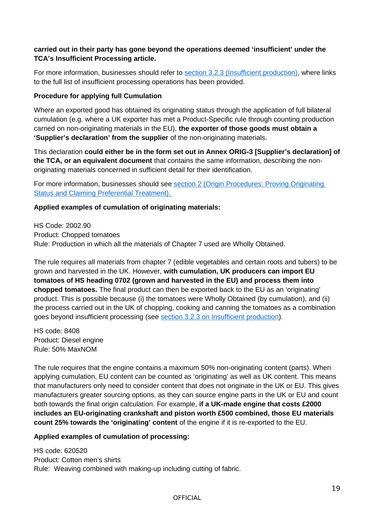### **carried out in their party has gone beyond the operations deemed 'insufficient' under the TCA's Insufficient Processing article.**

For more information, businesses should refer to section 3.2.3 (Insufficient production), where links to the full list of insufficient processing operations has been provided.

### **Procedure for applying full Cumulation**

Where an exported good has obtained its originating status through the application of full bilateral cumulation (e.g. where a UK exporter has met a Product-Specific rule through counting production carried on non-originating materials in the EU), **the exporter of those goods must obtain a 'Supplier's declaration' from the supplier** of the non-originating materials.

This declaration **could either be in the form set out in Annex ORIG-3 [Supplier's declaration] of the TCA, or an equivalent document** that contains the same information, describing the nonoriginating materials concerned in sufficient detail for their identification.

For more information, businesses should see section 2 (Origin Procedures: Proving Originating Status and Claiming Preferential Treatment).

#### **Applied examples of cumulation of originating materials:**

HS Code: 2002.90 Product: Chopped tomatoes Rule: Production in which all the materials of Chapter 7 used are Wholly Obtained.

The rule requires all materials from chapter 7 (edible vegetables and certain roots and tubers) to be grown and harvested in the UK. However, **with cumulation, UK producers can import EU tomatoes of HS heading 0702 (grown and harvested in the EU) and process them into chopped tomatoes.** The final product can then be exported back to the EU as an 'originating' product. This is possible because (i) the tomatoes were Wholly Obtained (by cumulation), and (ii) the process carried out in the UK of chopping, cooking and canning the tomatoes as a combination goes beyond insufficient processing (see [section 3.2.3 on Insufficient production\)](#page-22-0).

HS code: 8408 Product: Diesel engine Rule: 50% MaxNOM

The rule requires that the engine contains a maximum 50% non-originating content (parts). When applying cumulation, EU content can be counted as 'originating' as well as UK content. This means that manufacturers only need to consider content that does not originate in the UK or EU. This gives manufacturers greater sourcing options, as they can source engine parts in the UK or EU and count both towards the final origin calculation. For example, **if a UK-made engine that costs £2000 includes an EU-originating crankshaft and piston worth £500 combined, those EU materials count 25% towards the 'originating' content** of the engine if it is re-exported to the EU.

### **Applied examples of cumulation of processing:**

HS code: 620520 Product: Cotton men's shirts Rule: Weaving combined with making-up including cutting of fabric.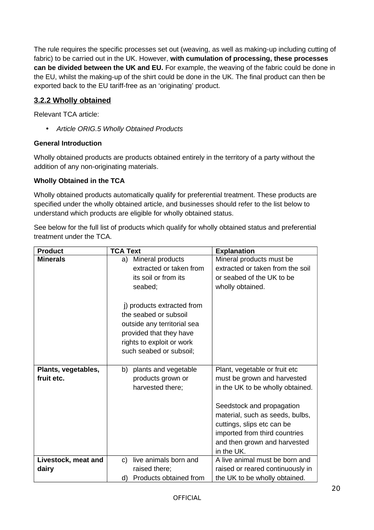The rule requires the specific processes set out (weaving, as well as making-up including cutting of fabric) to be carried out in the UK. However, **with cumulation of processing, these processes can be divided between the UK and EU.** For example, the weaving of the fabric could be done in the EU, whilst the making-up of the shirt could be done in the UK. The final product can then be exported back to the EU tariff-free as an 'originating' product.

# <span id="page-19-0"></span>**3.2.2 Wholly obtained**

Relevant TCA article:

• *Article ORIG.5 Wholly Obtained Products*

#### **General Introduction**

Wholly obtained products are products obtained entirely in the territory of a party without the addition of any non-originating materials.

#### **Wholly Obtained in the TCA**

Wholly obtained products automatically qualify for preferential treatment. These products are specified under the wholly obtained article, and businesses should refer to the list below to understand which products are eligible for wholly obtained status.

See below for the full list of products which qualify for wholly obtained status and preferential treatment under the TCA.

| <b>Product</b>      | <b>TCA Text</b>              | <b>Explanation</b>               |
|---------------------|------------------------------|----------------------------------|
| <b>Minerals</b>     | Mineral products<br>a)       | Mineral products must be         |
|                     | extracted or taken from      | extracted or taken from the soil |
|                     | its soil or from its         | or seabed of the UK to be        |
|                     | seabed;                      | wholly obtained.                 |
|                     |                              |                                  |
|                     | i) products extracted from   |                                  |
|                     | the seabed or subsoil        |                                  |
|                     | outside any territorial sea  |                                  |
|                     | provided that they have      |                                  |
|                     | rights to exploit or work    |                                  |
|                     | such seabed or subsoil;      |                                  |
|                     |                              |                                  |
| Plants, vegetables, | plants and vegetable<br>b)   | Plant, vegetable or fruit etc    |
| fruit etc.          | products grown or            | must be grown and harvested      |
|                     | harvested there;             | in the UK to be wholly obtained. |
|                     |                              |                                  |
|                     |                              | Seedstock and propagation        |
|                     |                              | material, such as seeds, bulbs,  |
|                     |                              | cuttings, slips etc can be       |
|                     |                              | imported from third countries    |
|                     |                              | and then grown and harvested     |
|                     |                              | in the UK.                       |
| Livestock, meat and | live animals born and<br>C)  | A live animal must be born and   |
| dairy               | raised there;                | raised or reared continuously in |
|                     | Products obtained from<br>d) | the UK to be wholly obtained.    |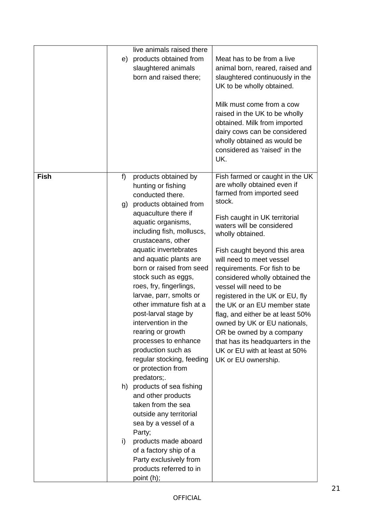|             | e)             | live animals raised there<br>products obtained from<br>slaughtered animals<br>born and raised there;                                                                                                                                                                                                                                                                                                                                                                                                                                                                                                                                                                                                                                                                                                                              | Meat has to be from a live<br>animal born, reared, raised and<br>slaughtered continuously in the<br>UK to be wholly obtained.<br>Milk must come from a cow<br>raised in the UK to be wholly<br>obtained. Milk from imported<br>dairy cows can be considered<br>wholly obtained as would be<br>considered as 'raised' in the<br>UK.                                                                                                                                                                                                                                                                             |
|-------------|----------------|-----------------------------------------------------------------------------------------------------------------------------------------------------------------------------------------------------------------------------------------------------------------------------------------------------------------------------------------------------------------------------------------------------------------------------------------------------------------------------------------------------------------------------------------------------------------------------------------------------------------------------------------------------------------------------------------------------------------------------------------------------------------------------------------------------------------------------------|----------------------------------------------------------------------------------------------------------------------------------------------------------------------------------------------------------------------------------------------------------------------------------------------------------------------------------------------------------------------------------------------------------------------------------------------------------------------------------------------------------------------------------------------------------------------------------------------------------------|
| <b>Fish</b> | f)<br>g)<br>i) | products obtained by<br>hunting or fishing<br>conducted there.<br>products obtained from<br>aquaculture there if<br>aquatic organisms,<br>including fish, molluscs,<br>crustaceans, other<br>aquatic invertebrates<br>and aquatic plants are<br>born or raised from seed<br>stock such as eggs,<br>roes, fry, fingerlings,<br>larvae, parr, smolts or<br>other immature fish at a<br>post-larval stage by<br>intervention in the<br>rearing or growth<br>processes to enhance<br>production such as<br>regular stocking, feeding<br>or protection from<br>predators;.<br>h) products of sea fishing<br>and other products<br>taken from the sea<br>outside any territorial<br>sea by a vessel of a<br>Party;<br>products made aboard<br>of a factory ship of a<br>Party exclusively from<br>products referred to in<br>point (h); | Fish farmed or caught in the UK<br>are wholly obtained even if<br>farmed from imported seed<br>stock.<br>Fish caught in UK territorial<br>waters will be considered<br>wholly obtained.<br>Fish caught beyond this area<br>will need to meet vessel<br>requirements. For fish to be<br>considered wholly obtained the<br>vessel will need to be<br>registered in the UK or EU, fly<br>the UK or an EU member state<br>flag, and either be at least 50%<br>owned by UK or EU nationals,<br>OR be owned by a company<br>that has its headquarters in the<br>UK or EU with at least at 50%<br>UK or EU ownership. |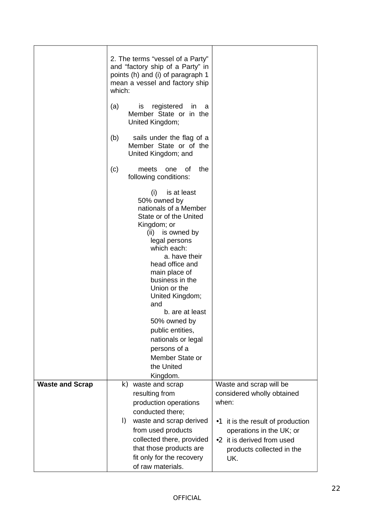|                        | 2. The terms "vessel of a Party"<br>and "factory ship of a Party" in<br>points (h) and (i) of paragraph 1<br>mean a vessel and factory ship<br>which:                                                                                                                                          |
|------------------------|------------------------------------------------------------------------------------------------------------------------------------------------------------------------------------------------------------------------------------------------------------------------------------------------|
|                        | registered<br>(a)<br>is.<br>in<br>a<br>Member State or in the<br>United Kingdom;                                                                                                                                                                                                               |
|                        | sails under the flag of a<br>(b)<br>Member State or of the<br>United Kingdom; and                                                                                                                                                                                                              |
|                        | the<br>(c)<br>οf<br>meets<br>one<br>following conditions:                                                                                                                                                                                                                                      |
|                        | is at least<br>(i)<br>50% owned by<br>nationals of a Member<br>State or of the United<br>Kingdom; or                                                                                                                                                                                           |
|                        | (ii) is owned by<br>legal persons<br>which each:<br>a. have their                                                                                                                                                                                                                              |
|                        | head office and<br>main place of<br>business in the<br>Union or the                                                                                                                                                                                                                            |
|                        | United Kingdom;<br>and<br>b. are at least<br>50% owned by                                                                                                                                                                                                                                      |
|                        | public entities,<br>nationals or legal<br>persons of a                                                                                                                                                                                                                                         |
|                        | Member State or<br>the United<br>Kingdom.                                                                                                                                                                                                                                                      |
| <b>Waste and Scrap</b> | Waste and scrap will be<br>k)<br>waste and scrap<br>considered wholly obtained<br>resulting from<br>production operations<br>when:<br>conducted there;                                                                                                                                         |
|                        | waste and scrap derived<br>$\vert$ )<br>it is the result of production<br>$\bullet 1$<br>from used products<br>operations in the UK; or<br>collected there, provided<br>•2 it is derived from used<br>that those products are<br>products collected in the<br>fit only for the recovery<br>UK. |
|                        | of raw materials.                                                                                                                                                                                                                                                                              |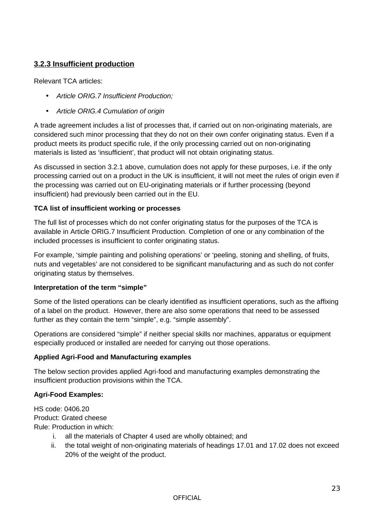# <span id="page-22-0"></span>**3.2.3 Insufficient production**

Relevant TCA articles:

- *Article ORIG.7 Insufficient Production;*
- *Article ORIG.4 Cumulation of origin*

A trade agreement includes a list of processes that, if carried out on non-originating materials, are considered such minor processing that they do not on their own confer originating status. Even if a product meets its product specific rule, if the only processing carried out on non-originating materials is listed as 'insufficient', that product will not obtain originating status.

As discussed in section 3.2.1 above, cumulation does not apply for these purposes, i.e. if the only processing carried out on a product in the UK is insufficient, it will not meet the rules of origin even if the processing was carried out on EU-originating materials or if further processing (beyond insufficient) had previously been carried out in the EU.

### **TCA list of insufficient working or processes**

The full list of processes which do not confer originating status for the purposes of the TCA is available in Article ORIG.7 Insufficient Production. Completion of one or any combination of the included processes is insufficient to confer originating status.

For example, 'simple painting and polishing operations' or 'peeling, stoning and shelling, of fruits, nuts and vegetables' are not considered to be significant manufacturing and as such do not confer originating status by themselves.

### **Interpretation of the term "simple"**

Some of the listed operations can be clearly identified as insufficient operations, such as the affixing of a label on the product. However, there are also some operations that need to be assessed further as they contain the term "simple", e.g. "simple assembly".

Operations are considered "simple" if neither special skills nor machines, apparatus or equipment especially produced or installed are needed for carrying out those operations.

### **Applied Agri-Food and Manufacturing examples**

The below section provides applied Agri-food and manufacturing examples demonstrating the insufficient production provisions within the TCA.

### **Agri-Food Examples:**

HS code: 0406.20 Product: Grated cheese Rule: Production in which:

- i. all the materials of Chapter 4 used are wholly obtained; and
- ii. the total weight of non-originating materials of headings 17.01 and 17.02 does not exceed 20% of the weight of the product.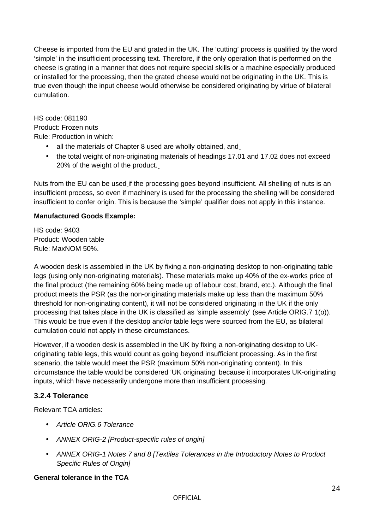Cheese is imported from the EU and grated in the UK. The 'cutting' process is qualified by the word 'simple' in the insufficient processing text. Therefore, if the only operation that is performed on the cheese is grating in a manner that does not require special skills or a machine especially produced or installed for the processing, then the grated cheese would not be originating in the UK. This is true even though the input cheese would otherwise be considered originating by virtue of bilateral cumulation.

HS code: 081190 Product: Frozen nuts Rule: Production in which:

- all the materials of Chapter 8 used are wholly obtained, and
- the total weight of non-originating materials of headings 17.01 and 17.02 does not exceed 20% of the weight of the product.

Nuts from the EU can be used if the processing goes beyond insufficient. All shelling of nuts is an insufficient process, so even if machinery is used for the processing the shelling will be considered insufficient to confer origin. This is because the 'simple' qualifier does not apply in this instance.

# **Manufactured Goods Example:**

HS code: 9403 Product: Wooden table Rule: MaxNOM 50%.

A wooden desk is assembled in the UK by fixing a non-originating desktop to non-originating table legs (using only non-originating materials). These materials make up 40% of the ex-works price of the final product (the remaining 60% being made up of labour cost, brand, etc.). Although the final product meets the PSR (as the non-originating materials make up less than the maximum 50% threshold for non-originating content), it will not be considered originating in the UK if the only processing that takes place in the UK is classified as 'simple assembly' (see Article ORIG.7 1(o)). This would be true even if the desktop and/or table legs were sourced from the EU, as bilateral cumulation could not apply in these circumstances.

However, if a wooden desk is assembled in the UK by fixing a non-originating desktop to UKoriginating table legs, this would count as going beyond insufficient processing. As in the first scenario, the table would meet the PSR (maximum 50% non-originating content). In this circumstance the table would be considered 'UK originating' because it incorporates UK-originating inputs, which have necessarily undergone more than insufficient processing.

# <span id="page-23-0"></span>**3.2.4 Tolerance**

Relevant TCA articles:

- *Article ORIG.6 Tolerance*
- *ANNEX ORIG-2 [Product-specific rules of origin]*
- *ANNEX ORIG-1 Notes 7 and 8 [Textiles Tolerances in the Introductory Notes to Product Specific Rules of Origin]*

### **General tolerance in the TCA**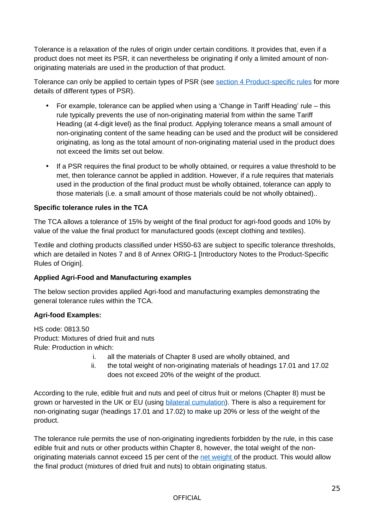Tolerance is a relaxation of the rules of origin under certain conditions. It provides that, even if a product does not meet its PSR, it can nevertheless be originating if only a limited amount of nonoriginating materials are used in the production of that product.

Tolerance can only be applied to certain types of PSR (see section 4 Product-specific rules for more details of different types of PSR).

- For example, tolerance can be applied when using a 'Change in Tariff Heading' rule this rule typically prevents the use of non-originating material from within the same Tariff Heading (at 4-digit level) as the final product. Applying tolerance means a small amount of non-originating content of the same heading can be used and the product will be considered originating, as long as the total amount of non-originating material used in the product does not exceed the limits set out below.
- If a PSR requires the final product to be wholly obtained, or requires a value threshold to be met, then tolerance cannot be applied in addition. However, if a rule requires that materials used in the production of the final product must be wholly obtained, tolerance can apply to those materials (i.e. a small amount of those materials could be not wholly obtained)..

### **Specific tolerance rules in the TCA**

The TCA allows a tolerance of 15% by weight of the final product for agri-food goods and 10% by value of the value the final product for manufactured goods (except clothing and textiles).

Textile and clothing products classified under HS50-63 are subject to specific tolerance thresholds, which are detailed in Notes 7 and 8 of Annex ORIG-1 [Introductory Notes to the Product-Specific Rules of Origin].

### **Applied Agri-Food and Manufacturing examples**

The below section provides applied Agri-food and manufacturing examples demonstrating the general tolerance rules within the TCA.

### **Agri-food Examples:**

HS code: 0813.50 Product: Mixtures of dried fruit and nuts Rule: Production in which:

- i. all the materials of Chapter 8 used are wholly obtained, and
- ii. the total weight of non-originating materials of headings 17.01 and 17.02 does not exceed 20% of the weight of the product.

According to the rule, edible fruit and nuts and peel of citrus fruit or melons (Chapter 8) must be grown or harvested in the UK or EU (using **bilateral cumulation**). There is also a requirement for non-originating sugar (headings 17.01 and 17.02) to make up 20% or less of the weight of the product.

The tolerance rule permits the use of non-originating ingredients forbidden by the rule, in this case edible fruit and nuts or other products within Chapter 8, however, the total weight of the nonoriginating materials cannot exceed 15 per cent of the net weight of the product. This would allow the final product (mixtures of dried fruit and nuts) to obtain originating status.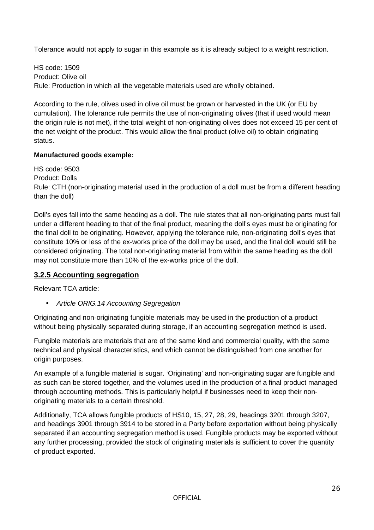Tolerance would not apply to sugar in this example as it is already subject to a weight restriction.

HS code: 1509 Product: Olive oil Rule: Production in which all the vegetable materials used are wholly obtained.

According to the rule, olives used in olive oil must be grown or harvested in the UK (or EU by cumulation). The tolerance rule permits the use of non-originating olives (that if used would mean the origin rule is not met), if the total weight of non-originating olives does not exceed 15 per cent of the net weight of the product. This would allow the final product (olive oil) to obtain originating status.

# **Manufactured goods example:**

HS code: 9503 Product: Dolls Rule: CTH (non-originating material used in the production of a doll must be from a different heading than the doll)

Doll's eyes fall into the same heading as a doll. The rule states that all non-originating parts must fall under a different heading to that of the final product, meaning the doll's eyes must be originating for the final doll to be originating. However, applying the tolerance rule, non-originating doll's eyes that constitute 10% or less of the ex-works price of the doll may be used, and the final doll would still be considered originating. The total non-originating material from within the same heading as the doll may not constitute more than 10% of the ex-works price of the doll.

# <span id="page-25-0"></span>**3.2.5 Accounting segregation**

Relevant TCA article:

• *Article ORIG.14 Accounting Segregation*

Originating and non-originating fungible materials may be used in the production of a product without being physically separated during storage, if an accounting segregation method is used.

Fungible materials are materials that are of the same kind and commercial quality, with the same technical and physical characteristics, and which cannot be distinguished from one another for origin purposes.

An example of a fungible material is sugar. 'Originating' and non-originating sugar are fungible and as such can be stored together, and the volumes used in the production of a final product managed through accounting methods. This is particularly helpful if businesses need to keep their nonoriginating materials to a certain threshold.

Additionally, TCA allows fungible products of HS10, 15, 27, 28, 29, headings 3201 through 3207, and headings 3901 through 3914 to be stored in a Party before exportation without being physically separated if an accounting segregation method is used. Fungible products may be exported without any further processing, provided the stock of originating materials is sufficient to cover the quantity of product exported.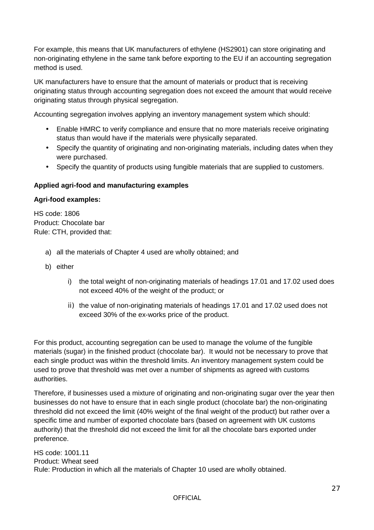For example, this means that UK manufacturers of ethylene (HS2901) can store originating and non-originating ethylene in the same tank before exporting to the EU if an accounting segregation method is used.

UK manufacturers have to ensure that the amount of materials or product that is receiving originating status through accounting segregation does not exceed the amount that would receive originating status through physical segregation.

Accounting segregation involves applying an inventory management system which should:

- Enable HMRC to verify compliance and ensure that no more materials receive originating status than would have if the materials were physically separated.
- Specify the quantity of originating and non-originating materials, including dates when they were purchased.
- Specify the quantity of products using fungible materials that are supplied to customers.

### **Applied agri-food and manufacturing examples**

#### **Agri-food examples:**

HS code: 1806 Product: Chocolate bar Rule: CTH, provided that:

- a) all the materials of Chapter 4 used are wholly obtained; and
- b) either
	- i) the total weight of non-originating materials of headings 17.01 and 17.02 used does not exceed 40% of the weight of the product; or
	- ii) the value of non-originating materials of headings 17.01 and 17.02 used does not exceed 30% of the ex-works price of the product.

For this product, accounting segregation can be used to manage the volume of the fungible materials (sugar) in the finished product (chocolate bar). It would not be necessary to prove that each single product was within the threshold limits. An inventory management system could be used to prove that threshold was met over a number of shipments as agreed with customs authorities.

Therefore, if businesses used a mixture of originating and non-originating sugar over the year then businesses do not have to ensure that in each single product (chocolate bar) the non-originating threshold did not exceed the limit (40% weight of the final weight of the product) but rather over a specific time and number of exported chocolate bars (based on agreement with UK customs authority) that the threshold did not exceed the limit for all the chocolate bars exported under preference.

HS code: 1001.11 Product: Wheat seed Rule: Production in which all the materials of Chapter 10 used are wholly obtained.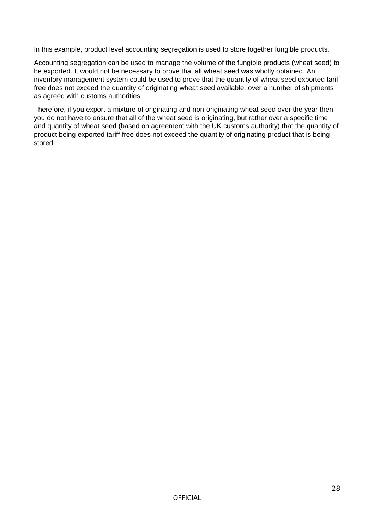In this example, product level accounting segregation is used to store together fungible products.

Accounting segregation can be used to manage the volume of the fungible products (wheat seed) to be exported. It would not be necessary to prove that all wheat seed was wholly obtained. An inventory management system could be used to prove that the quantity of wheat seed exported tariff free does not exceed the quantity of originating wheat seed available, over a number of shipments as agreed with customs authorities.

Therefore, if you export a mixture of originating and non-originating wheat seed over the year then you do not have to ensure that all of the wheat seed is originating, but rather over a specific time and quantity of wheat seed (based on agreement with the UK customs authority) that the quantity of product being exported tariff free does not exceed the quantity of originating product that is being stored.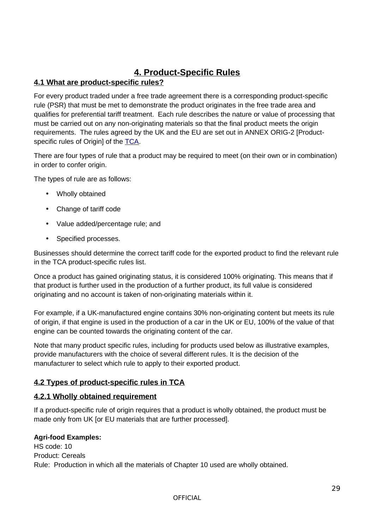# <span id="page-28-3"></span>**4. Product-Specific Rules**

# <span id="page-28-2"></span>**4.1 What are product-specific rules?**

For every product traded under a free trade agreement there is a corresponding product-specific rule (PSR) that must be met to demonstrate the product originates in the free trade area and qualifies for preferential tariff treatment. Each rule describes the nature or value of processing that must be carried out on any non-originating materials so that the final product meets the origin requirements. The rules agreed by the UK and the EU are set out in ANNEX ORIG-2 [Product-specific rules of Origin] of the [TCA.](https://assets.publishing.service.gov.uk/government/uploads/system/uploads/attachment_data/file/948104/EU-UK_Trade_and_Cooperation_Agreement_24.12.2020.pdf)

There are four types of rule that a product may be required to meet (on their own or in combination) in order to confer origin.

The types of rule are as follows:

- Wholly obtained
- Change of tariff code
- Value added/percentage rule; and
- Specified processes.

Businesses should determine the correct tariff code for the exported product to find the relevant rule in the TCA product-specific rules list.

Once a product has gained originating status, it is considered 100% originating. This means that if that product is further used in the production of a further product, its full value is considered originating and no account is taken of non-originating materials within it.

For example, if a UK-manufactured engine contains 30% non-originating content but meets its rule of origin, if that engine is used in the production of a car in the UK or EU, 100% of the value of that engine can be counted towards the originating content of the car.

Note that many product specific rules, including for products used below as illustrative examples, provide manufacturers with the choice of several different rules. It is the decision of the manufacturer to select which rule to apply to their exported product.

# <span id="page-28-1"></span>**4.2 Types of product-specific rules in TCA**

# <span id="page-28-0"></span>**4.2.1 Wholly obtained requirement**

If a product-specific rule of origin requires that a product is wholly obtained, the product must be made only from UK [or EU materials that are further processed].

### **Agri-food Examples:**

HS code: 10 Product: Cereals Rule: Production in which all the materials of Chapter 10 used are wholly obtained.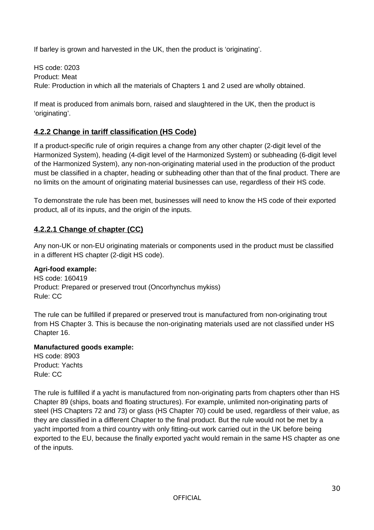If barley is grown and harvested in the UK, then the product is 'originating'.

HS code: 0203 Product: Meat Rule: Production in which all the materials of Chapters 1 and 2 used are wholly obtained.

If meat is produced from animals born, raised and slaughtered in the UK, then the product is 'originating'.

# <span id="page-29-1"></span>**4.2.2 Change in tariff classification (HS Code)**

If a product-specific rule of origin requires a change from any other chapter (2-digit level of the Harmonized System), heading (4-digit level of the Harmonized System) or subheading (6-digit level of the Harmonized System), any non-non-originating material used in the production of the product must be classified in a chapter, heading or subheading other than that of the final product. There are no limits on the amount of originating material businesses can use, regardless of their HS code.

To demonstrate the rule has been met, businesses will need to know the HS code of their exported product, all of its inputs, and the origin of the inputs.

# <span id="page-29-0"></span>**4.2.2.1 Change of chapter (CC)**

Any non-UK or non-EU originating materials or components used in the product must be classified in a different HS chapter (2-digit HS code).

### **Agri-food example:**

HS code: 160419 Product: Prepared or preserved trout (Oncorhynchus mykiss) Rule: CC

The rule can be fulfilled if prepared or preserved trout is manufactured from non-originating trout from HS Chapter 3. This is because the non-originating materials used are not classified under HS Chapter 16.

### **Manufactured goods example:**

HS code: 8903 Product: Yachts Rule: CC

The rule is fulfilled if a yacht is manufactured from non-originating parts from chapters other than HS Chapter 89 (ships, boats and floating structures). For example, unlimited non-originating parts of steel (HS Chapters 72 and 73) or glass (HS Chapter 70) could be used, regardless of their value, as they are classified in a different Chapter to the final product. But the rule would not be met by a yacht imported from a third country with only fitting-out work carried out in the UK before being exported to the EU, because the finally exported yacht would remain in the same HS chapter as one of the inputs.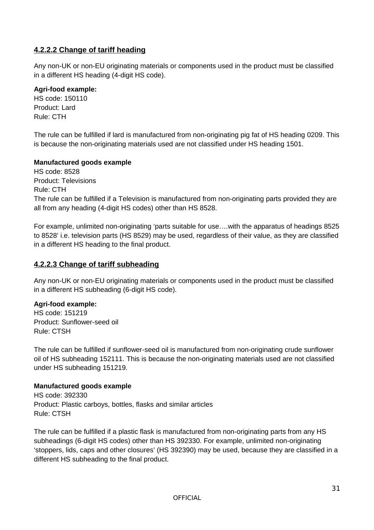# <span id="page-30-1"></span>**4.2.2.2 Change of tariff heading**

Any non-UK or non-EU originating materials or components used in the product must be classified in a different HS heading (4-digit HS code).

#### **Agri-food example:**

HS code: 150110 Product: Lard Rule: CTH

The rule can be fulfilled if lard is manufactured from non-originating pig fat of HS heading 0209. This is because the non-originating materials used are not classified under HS heading 1501.

### **Manufactured goods example**

HS code: 8528 Product: Televisions Rule: CTH The rule can be fulfilled if a Television is manufactured from non-originating parts provided they are all from any heading (4-digit HS codes) other than HS 8528.

For example, unlimited non-originating 'parts suitable for use….with the apparatus of headings 8525 to 8528' i.e. television parts (HS 8529) may be used, regardless of their value, as they are classified in a different HS heading to the final product.

## <span id="page-30-0"></span>**4.2.2.3 Change of tariff subheading**

Any non-UK or non-EU originating materials or components used in the product must be classified in a different HS subheading (6-digit HS code).

### **Agri-food example:**

HS code: 151219 Product: Sunflower-seed oil Rule: CTSH

The rule can be fulfilled if sunflower-seed oil is manufactured from non-originating crude sunflower oil of HS subheading 152111. This is because the non-originating materials used are not classified under HS subheading 151219.

#### **Manufactured goods example**

HS code: 392330 Product: Plastic carboys, bottles, flasks and similar articles Rule: CTSH

The rule can be fulfilled if a plastic flask is manufactured from non-originating parts from any HS subheadings (6-digit HS codes) other than HS 392330. For example, unlimited non-originating 'stoppers, lids, caps and other closures' (HS 392390) may be used, because they are classified in a different HS subheading to the final product.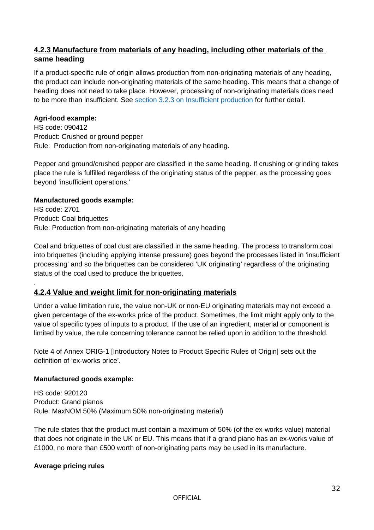# <span id="page-31-1"></span>**4.2.3 Manufacture from materials of any heading, including other materials of the same heading**

If a product-specific rule of origin allows production from non-originating materials of any heading, the product can include non-originating materials of the same heading. This means that a change of heading does not need to take place. However, processing of non-originating materials does need to be more than insufficient. See section 3.2.3 on Insufficient production for further detail.

## **Agri-food example:**

.

HS code: 090412 Product: Crushed or ground pepper Rule: Production from non-originating materials of any heading.

Pepper and ground/crushed pepper are classified in the same heading. If crushing or grinding takes place the rule is fulfilled regardless of the originating status of the pepper, as the processing goes beyond 'insufficient operations.'

### **Manufactured goods example:**

HS code: 2701 Product: Coal briquettes Rule: Production from non-originating materials of any heading

Coal and briquettes of coal dust are classified in the same heading. The process to transform coal into briquettes (including applying intense pressure) goes beyond the processes listed in 'insufficient processing' and so the briquettes can be considered 'UK originating' regardless of the originating status of the coal used to produce the briquettes.

# <span id="page-31-0"></span>**4.2.4 Value and weight limit for non-originating materials**

Under a value limitation rule, the value non-UK or non-EU originating materials may not exceed a given percentage of the ex-works price of the product. Sometimes, the limit might apply only to the value of specific types of inputs to a product. If the use of an ingredient, material or component is limited by value, the rule concerning tolerance cannot be relied upon in addition to the threshold.

Note 4 of Annex ORIG-1 [Introductory Notes to Product Specific Rules of Origin] sets out the definition of 'ex-works price'.

### **Manufactured goods example:**

HS code: 920120 Product: Grand pianos Rule: MaxNOM 50% (Maximum 50% non-originating material)

The rule states that the product must contain a maximum of 50% (of the ex-works value) material that does not originate in the UK or EU. This means that if a grand piano has an ex-works value of £1000, no more than £500 worth of non-originating parts may be used in its manufacture.

### **Average pricing rules**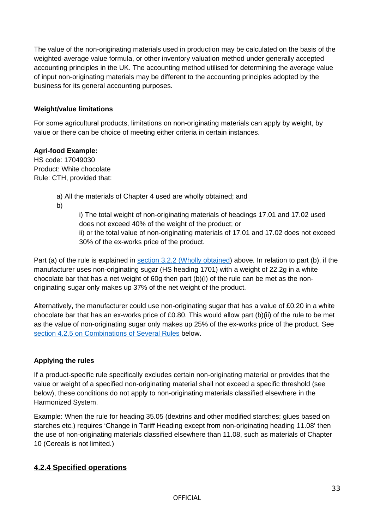The value of the non-originating materials used in production may be calculated on the basis of the weighted-average value formula, or other inventory valuation method under generally accepted accounting principles in the UK. The accounting method utilised for determining the average value of input non-originating materials may be different to the accounting principles adopted by the business for its general accounting purposes.

#### **Weight/value limitations**

For some agricultural products, limitations on non-originating materials can apply by weight, by value or there can be choice of meeting either criteria in certain instances.

#### **Agri-food Example:**

HS code: 17049030 Product: White chocolate Rule: CTH, provided that:

a) All the materials of Chapter 4 used are wholly obtained; and

b)

i) The total weight of non-originating materials of headings 17.01 and 17.02 used does not exceed 40% of the weight of the product; or ii) or the total value of non-originating materials of 17.01 and 17.02 does not exceed 30% of the ex-works price of the product.

Part (a) of the rule is explained in **section 3.2.2** (Wholly obtained) above. In relation to part (b), if the manufacturer uses non-originating sugar (HS heading 1701) with a weight of 22.2g in a white chocolate bar that has a net weight of 60g then part (b)(i) of the rule can be met as the nonoriginating sugar only makes up 37% of the net weight of the product.

Alternatively, the manufacturer could use non-originating sugar that has a value of £0.20 in a white chocolate bar that has an ex-works price of £0.80. This would allow part (b)(ii) of the rule to be met as the value of non-originating sugar only makes up 25% of the ex-works price of the product. See section 4.2.5 on Combinations of Several Rules below.

### **Applying the rules**

If a product-specific rule specifically excludes certain non-originating material or provides that the value or weight of a specified non-originating material shall not exceed a specific threshold (see below), these conditions do not apply to non-originating materials classified elsewhere in the Harmonized System.

Example: When the rule for heading 35.05 (dextrins and other modified starches; glues based on starches etc.) requires 'Change in Tariff Heading except from non-originating heading 11.08' then the use of non-originating materials classified elsewhere than 11.08, such as materials of Chapter 10 (Cereals is not limited.)

# <span id="page-32-0"></span>**4.2.4 Specified operations**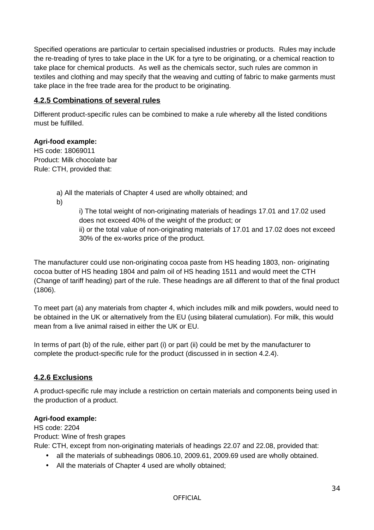Specified operations are particular to certain specialised industries or products. Rules may include the re-treading of tyres to take place in the UK for a tyre to be originating, or a chemical reaction to take place for chemical products. As well as the chemicals sector, such rules are common in textiles and clothing and may specify that the weaving and cutting of fabric to make garments must take place in the free trade area for the product to be originating.

# <span id="page-33-1"></span>**4.2.5 Combinations of several rules**

Different product-specific rules can be combined to make a rule whereby all the listed conditions must be fulfilled.

### **Agri-food example:**

HS code: 18069011 Product: Milk chocolate bar Rule: CTH, provided that:

a) All the materials of Chapter 4 used are wholly obtained; and

b)

i) The total weight of non-originating materials of headings 17.01 and 17.02 used does not exceed 40% of the weight of the product; or ii) or the total value of non-originating materials of 17.01 and 17.02 does not exceed 30% of the ex-works price of the product.

The manufacturer could use non-originating cocoa paste from HS heading 1803, non- originating cocoa butter of HS heading 1804 and palm oil of HS heading 1511 and would meet the CTH (Change of tariff heading) part of the rule. These headings are all different to that of the final product (1806).

To meet part (a) any materials from chapter 4, which includes milk and milk powders, would need to be obtained in the UK or alternatively from the EU (using bilateral cumulation). For milk, this would mean from a live animal raised in either the UK or EU.

In terms of part (b) of the rule, either part (i) or part (ii) could be met by the manufacturer to complete the product-specific rule for the product (discussed in in section 4.2.4).

# <span id="page-33-0"></span>**4.2.6 Exclusions**

A product-specific rule may include a restriction on certain materials and components being used in the production of a product.

### **Agri-food example:**

HS code: 2204

Product: Wine of fresh grapes

Rule: CTH, except from non-originating materials of headings 22.07 and 22.08, provided that:

- all the materials of subheadings 0806.10, 2009.61, 2009.69 used are wholly obtained.
- All the materials of Chapter 4 used are wholly obtained;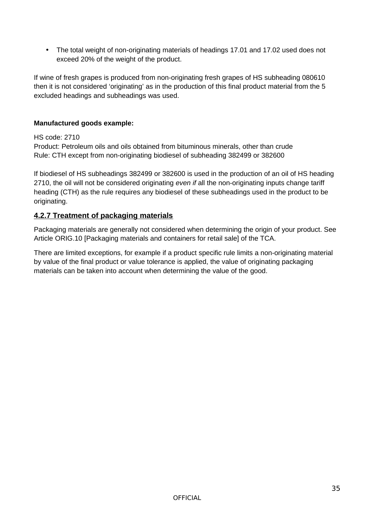• The total weight of non-originating materials of headings 17.01 and 17.02 used does not exceed 20% of the weight of the product.

If wine of fresh grapes is produced from non-originating fresh grapes of HS subheading 080610 then it is not considered 'originating' as in the production of this final product material from the 5 excluded headings and subheadings was used.

# **Manufactured goods example:**

### HS code: 2710

Product: Petroleum oils and oils obtained from bituminous minerals, other than crude Rule: CTH except from non-originating biodiesel of subheading 382499 or 382600

If biodiesel of HS subheadings 382499 or 382600 is used in the production of an oil of HS heading 2710, the oil will not be considered originating *even if* all the non-originating inputs change tariff heading (CTH) as the rule requires any biodiesel of these subheadings used in the product to be originating.

# <span id="page-34-0"></span>**4.2.7 Treatment of packaging materials**

Packaging materials are generally not considered when determining the origin of your product. See Article ORIG.10 [Packaging materials and containers for retail sale] of the TCA.

There are limited exceptions, for example if a product specific rule limits a non-originating material by value of the final product or value tolerance is applied, the value of originating packaging materials can be taken into account when determining the value of the good.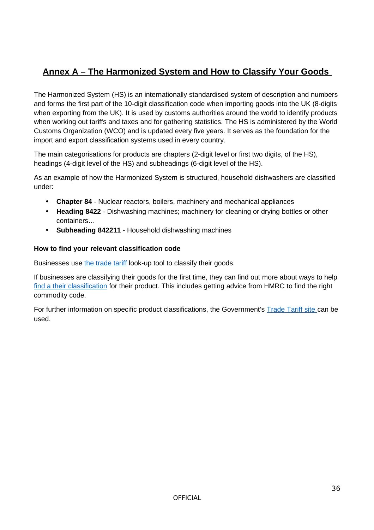# <span id="page-35-0"></span>**Annex A – The Harmonized System and How to Classify Your Goods**

The Harmonized System (HS) is an internationally standardised system of description and numbers and forms the first part of the 10-digit classification code when importing goods into the UK (8-digits when exporting from the UK). It is used by customs authorities around the world to identify products when working out tariffs and taxes and for gathering statistics. The HS is administered by the World Customs Organization (WCO) and is updated every five years. It serves as the foundation for the import and export classification systems used in every country.

The main categorisations for products are chapters (2-digit level or first two digits, of the HS), headings (4-digit level of the HS) and subheadings (6-digit level of the HS).

As an example of how the Harmonized System is structured, household dishwashers are classified under:

- **Chapter 84**  Nuclear reactors, boilers, machinery and mechanical appliances
- **Heading 8422** Dishwashing machines; machinery for cleaning or drying bottles or other containers…
- **Subheading 842211** Household dishwashing machines

### **How to find your relevant classification code**

Businesses use the trade tariff look-up tool to classify their goods.

If businesses are classifying their goods for the first time, they can find out more about ways to help  [find a their classification](https://www.gov.uk/guidance/finding-commodity-codes-for-imports-or-exports) for their product. This includes getting advice from HMRC to find the right commodity code.

<span id="page-35-1"></span>For further information on specific product classifications, the Government's Trade Tariff site can be used.